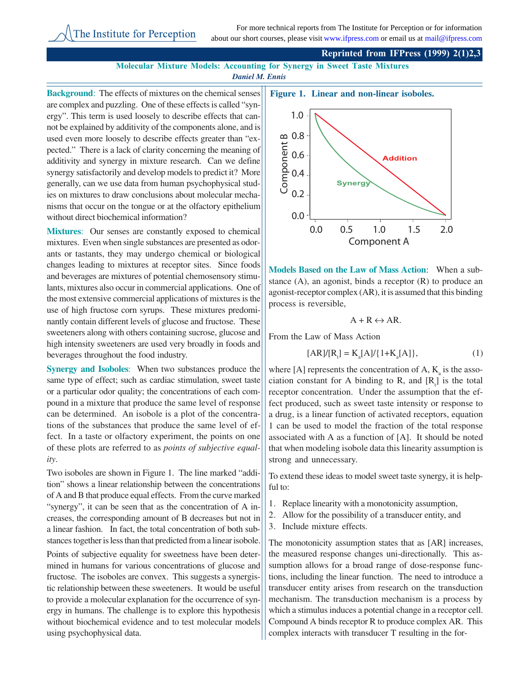## **Reprinted from IFPress (1999) 2(1)2,3**

**Molecular Mixture Models: Accounting for Synergy in Sweet Taste Mixtures** *Daniel M. Ennis*

**Background:** The effects of mixtures on the chemical senses are complex and puzzling. One of these effects is called "synergy". This term is used loosely to describe effects that cannot be explained by additivity of the components alone, and is used even more loosely to describe effects greater than "expected." There is a lack of clarity concerning the meaning of additivity and synergy in mixture research. Can we define synergy satisfactorily and develop models to predict it? More generally, can we use data from human psychophysical studies on mixtures to draw conclusions about molecular mechanisms that occur on the tongue or at the olfactory epithelium without direct biochemical information?

**Mixtures**: Our senses are constantly exposed to chemical mixtures. Even when single substances are presented as odorants or tastants, they may undergo chemical or biological changes leading to mixtures at receptor sites. Since foods and beverages are mixtures of potential chemosensory stimulants, mixtures also occur in commercial applications. One of the most extensive commercial applications of mixtures is the use of high fructose corn syrups. These mixtures predominantly contain different levels of glucose and fructose. These sweeteners along with others containing sucrose, glucose and high intensity sweeteners are used very broadly in foods and beverages throughout the food industry.

**Synergy and Isoboles**: When two substances produce the same type of effect; such as cardiac stimulation, sweet taste or a particular odor quality; the concentrations of each compound in a mixture that produce the same level of response can be determined. An isobole is a plot of the concentrations of the substances that produce the same level of effect. In a taste or olfactory experiment, the points on one of these plots are referred to as *points of subjective equality*.

Two isoboles are shown in Figure 1. The line marked "addition" shows a linear relationship between the concentrations of A and B that produce equal effects. From the curve marked "synergy", it can be seen that as the concentration of A increases, the corresponding amount of B decreases but not in a linear fashion. In fact, the total concentration of both substances together is less than that predicted from a linear isobole.

Points of subjective equality for sweetness have been determined in humans for various concentrations of glucose and fructose. The isoboles are convex. This suggests a synergistic relationship between these sweeteners. It would be useful to provide a molecular explanation for the occurrence of synergy in humans. The challenge is to explore this hypothesis without biochemical evidence and to test molecular models using psychophysical data.



**Models Based on the Law of Mass Action**: When a substance  $(A)$ , an agonist, binds a receptor  $(R)$  to produce an agonist-receptor complex (AR), it is assumed that this binding process is reversible,

$$
A + R \leftrightarrow AR.
$$

From the Law of Mass Action

$$
[AR]/[Rt] = Ka[A]/{1+Ka[A]},
$$
 (1)

where [A] represents the concentration of A,  $K_a$  is the association constant for A binding to R, and  $[R_{\iota}]$  is the total receptor concentration. Under the assumption that the effect produced, such as sweet taste intensity or response to a drug, is a linear function of activated receptors, equation 1 can be used to model the fraction of the total response associated with A as a function of [A]. It should be noted that when modeling isobole data this linearity assumption is strong and unnecessary.

To extend these ideas to model sweet taste synergy, it is helpful to:

- 1. Replace linearity with a monotonicity assumption,
- 2. Allow for the possibility of a transducer entity, and
- 3. Include mixture effects.

The monotonicity assumption states that as [AR] increases, the measured response changes uni-directionally. This assumption allows for a broad range of dose-response functions, including the linear function. The need to introduce a transducer entity arises from research on the transduction mechanism. The transduction mechanism is a process by which a stimulus induces a potential change in a receptor cell. Compound A binds receptor R to produce complex AR. This complex interacts with transducer T resulting in the for